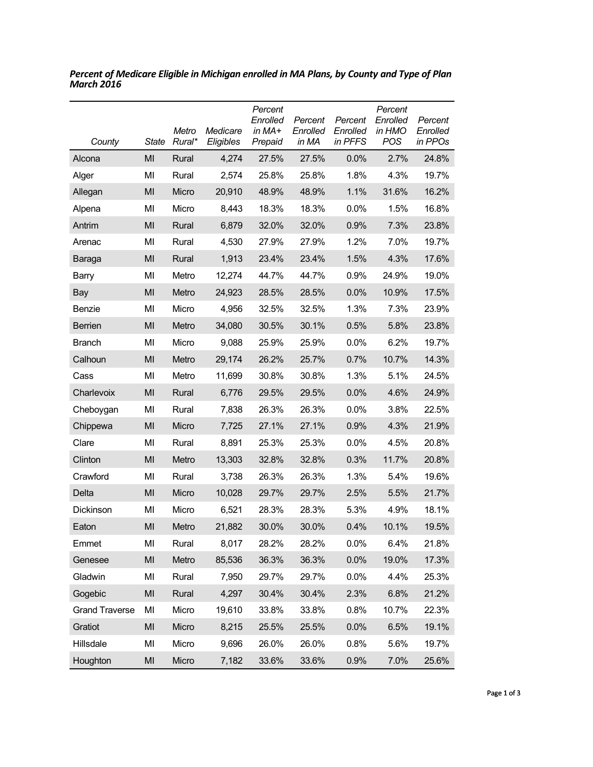| County                | <b>State</b>   | Metro<br>Rural* | Medicare<br>Eligibles | Percent<br>Enrolled<br>in $MA+$<br>Prepaid | Percent<br>Enrolled<br>in MA | Percent<br>Enrolled<br>in PFFS | Percent<br>Enrolled<br>in HMO<br><b>POS</b> | Percent<br>Enrolled<br>in PPOs |
|-----------------------|----------------|-----------------|-----------------------|--------------------------------------------|------------------------------|--------------------------------|---------------------------------------------|--------------------------------|
| Alcona                | MI             | Rural           | 4,274                 | 27.5%                                      | 27.5%                        | 0.0%                           | 2.7%                                        | 24.8%                          |
| Alger                 | MI             | Rural           | 2,574                 | 25.8%                                      | 25.8%                        | 1.8%                           | 4.3%                                        | 19.7%                          |
| Allegan               | MI             | Micro           | 20,910                | 48.9%                                      | 48.9%                        | 1.1%                           | 31.6%                                       | 16.2%                          |
| Alpena                | MI             | Micro           | 8,443                 | 18.3%                                      | 18.3%                        | 0.0%                           | 1.5%                                        | 16.8%                          |
| Antrim                | MI             | Rural           | 6,879                 | 32.0%                                      | 32.0%                        | 0.9%                           | 7.3%                                        | 23.8%                          |
| Arenac                | MI             | Rural           | 4,530                 | 27.9%                                      | 27.9%                        | 1.2%                           | 7.0%                                        | 19.7%                          |
| Baraga                | MI             | Rural           | 1,913                 | 23.4%                                      | 23.4%                        | 1.5%                           | 4.3%                                        | 17.6%                          |
| Barry                 | MI             | Metro           | 12,274                | 44.7%                                      | 44.7%                        | 0.9%                           | 24.9%                                       | 19.0%                          |
| Bay                   | MI             | Metro           | 24,923                | 28.5%                                      | 28.5%                        | 0.0%                           | 10.9%                                       | 17.5%                          |
| Benzie                | MI             | Micro           | 4,956                 | 32.5%                                      | 32.5%                        | 1.3%                           | 7.3%                                        | 23.9%                          |
| <b>Berrien</b>        | MI             | Metro           | 34,080                | 30.5%                                      | 30.1%                        | 0.5%                           | 5.8%                                        | 23.8%                          |
| <b>Branch</b>         | MI             | Micro           | 9,088                 | 25.9%                                      | 25.9%                        | 0.0%                           | 6.2%                                        | 19.7%                          |
| Calhoun               | MI             | Metro           | 29,174                | 26.2%                                      | 25.7%                        | 0.7%                           | 10.7%                                       | 14.3%                          |
| Cass                  | MI             | Metro           | 11,699                | 30.8%                                      | 30.8%                        | 1.3%                           | 5.1%                                        | 24.5%                          |
| Charlevoix            | MI             | Rural           | 6,776                 | 29.5%                                      | 29.5%                        | 0.0%                           | 4.6%                                        | 24.9%                          |
| Cheboygan             | MI             | Rural           | 7,838                 | 26.3%                                      | 26.3%                        | 0.0%                           | 3.8%                                        | 22.5%                          |
| Chippewa              | MI             | Micro           | 7,725                 | 27.1%                                      | 27.1%                        | 0.9%                           | 4.3%                                        | 21.9%                          |
| Clare                 | MI             | Rural           | 8,891                 | 25.3%                                      | 25.3%                        | 0.0%                           | 4.5%                                        | 20.8%                          |
| Clinton               | MI             | Metro           | 13,303                | 32.8%                                      | 32.8%                        | 0.3%                           | 11.7%                                       | 20.8%                          |
| Crawford              | MI             | Rural           | 3,738                 | 26.3%                                      | 26.3%                        | 1.3%                           | 5.4%                                        | 19.6%                          |
| Delta                 | MI             | Micro           | 10,028                | 29.7%                                      | 29.7%                        | 2.5%                           | 5.5%                                        | 21.7%                          |
| Dickinson             | MI             | Micro           | 6,521                 | 28.3%                                      | 28.3%                        | 5.3%                           | 4.9%                                        | 18.1%                          |
| Eaton                 | MI             | Metro           | 21,882                | 30.0%                                      | 30.0%                        | 0.4%                           | 10.1%                                       | 19.5%                          |
| Emmet                 | MI             | Rural           | 8,017                 | 28.2%                                      | 28.2%                        | 0.0%                           | 6.4%                                        | 21.8%                          |
| Genesee               | $\mathsf{MI}$  | Metro           | 85,536                | 36.3%                                      | 36.3%                        | 0.0%                           | 19.0%                                       | 17.3%                          |
| Gladwin               | MI             | Rural           | 7,950                 | 29.7%                                      | 29.7%                        | 0.0%                           | 4.4%                                        | 25.3%                          |
| Gogebic               | MI             | Rural           | 4,297                 | 30.4%                                      | 30.4%                        | 2.3%                           | 6.8%                                        | 21.2%                          |
| <b>Grand Traverse</b> | MI             | Micro           | 19,610                | 33.8%                                      | 33.8%                        | 0.8%                           | 10.7%                                       | 22.3%                          |
| Gratiot               | M <sub>l</sub> | Micro           | 8,215                 | 25.5%                                      | 25.5%                        | 0.0%                           | 6.5%                                        | 19.1%                          |
| Hillsdale             | MI             | Micro           | 9,696                 | 26.0%                                      | 26.0%                        | 0.8%                           | 5.6%                                        | 19.7%                          |
| Houghton              | M <sub>l</sub> | Micro           | 7,182                 | 33.6%                                      | 33.6%                        | 0.9%                           | 7.0%                                        | 25.6%                          |

*Percent of Medicare Eligible in Michigan enrolled in MA Plans, by County and Type of Plan March 2016*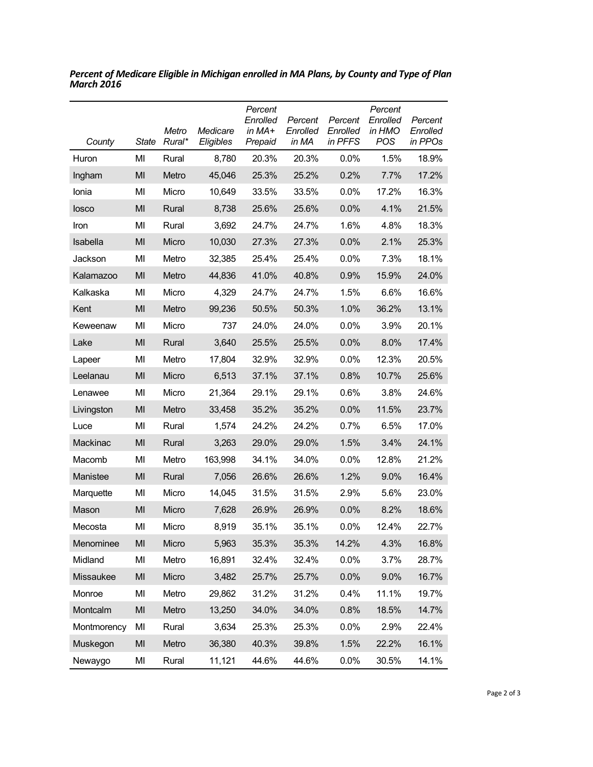| County      | <b>State</b> | Metro<br>Rural* | Medicare<br>Eligibles | Percent<br>Enrolled<br>in MA+<br>Prepaid | Percent<br>Enrolled<br>in MA | Percent<br>Enrolled<br>in PFFS | Percent<br>Enrolled<br>in HMO<br><b>POS</b> | Percent<br>Enrolled<br>in PPOs |
|-------------|--------------|-----------------|-----------------------|------------------------------------------|------------------------------|--------------------------------|---------------------------------------------|--------------------------------|
| Huron       | MI           | Rural           | 8,780                 | 20.3%                                    | 20.3%                        | 0.0%                           | 1.5%                                        | 18.9%                          |
| Ingham      | MI           | Metro           | 45,046                | 25.3%                                    | 25.2%                        | 0.2%                           | 7.7%                                        | 17.2%                          |
| Ionia       | MI           | Micro           | 10,649                | 33.5%                                    | 33.5%                        | 0.0%                           | 17.2%                                       | 16.3%                          |
| losco       | MI           | Rural           | 8,738                 | 25.6%                                    | 25.6%                        | 0.0%                           | 4.1%                                        | 21.5%                          |
| Iron        | MI           | Rural           | 3,692                 | 24.7%                                    | 24.7%                        | 1.6%                           | 4.8%                                        | 18.3%                          |
| Isabella    | MI           | Micro           | 10,030                | 27.3%                                    | 27.3%                        | 0.0%                           | 2.1%                                        | 25.3%                          |
| Jackson     | MI           | Metro           | 32,385                | 25.4%                                    | 25.4%                        | 0.0%                           | 7.3%                                        | 18.1%                          |
| Kalamazoo   | MI           | Metro           | 44,836                | 41.0%                                    | 40.8%                        | 0.9%                           | 15.9%                                       | 24.0%                          |
| Kalkaska    | MI           | Micro           | 4,329                 | 24.7%                                    | 24.7%                        | 1.5%                           | 6.6%                                        | 16.6%                          |
| Kent        | MI           | Metro           | 99,236                | 50.5%                                    | 50.3%                        | 1.0%                           | 36.2%                                       | 13.1%                          |
| Keweenaw    | MI           | Micro           | 737                   | 24.0%                                    | 24.0%                        | 0.0%                           | 3.9%                                        | 20.1%                          |
| Lake        | MI           | Rural           | 3,640                 | 25.5%                                    | 25.5%                        | 0.0%                           | 8.0%                                        | 17.4%                          |
| Lapeer      | MI           | Metro           | 17,804                | 32.9%                                    | 32.9%                        | 0.0%                           | 12.3%                                       | 20.5%                          |
| Leelanau    | MI           | Micro           | 6,513                 | 37.1%                                    | 37.1%                        | 0.8%                           | 10.7%                                       | 25.6%                          |
| Lenawee     | MI           | Micro           | 21,364                | 29.1%                                    | 29.1%                        | 0.6%                           | 3.8%                                        | 24.6%                          |
| Livingston  | MI           | Metro           | 33,458                | 35.2%                                    | 35.2%                        | 0.0%                           | 11.5%                                       | 23.7%                          |
| Luce        | MI           | Rural           | 1,574                 | 24.2%                                    | 24.2%                        | 0.7%                           | 6.5%                                        | 17.0%                          |
| Mackinac    | MI           | Rural           | 3,263                 | 29.0%                                    | 29.0%                        | 1.5%                           | 3.4%                                        | 24.1%                          |
| Macomb      | MI           | Metro           | 163,998               | 34.1%                                    | 34.0%                        | 0.0%                           | 12.8%                                       | 21.2%                          |
| Manistee    | MI           | Rural           | 7,056                 | 26.6%                                    | 26.6%                        | 1.2%                           | 9.0%                                        | 16.4%                          |
| Marquette   | MI           | Micro           | 14,045                | 31.5%                                    | 31.5%                        | 2.9%                           | 5.6%                                        | 23.0%                          |
| Mason       | MI           | Micro           | 7,628                 | 26.9%                                    | 26.9%                        | 0.0%                           | 8.2%                                        | 18.6%                          |
| Mecosta     | MI           | Micro           | 8,919                 | 35.1%                                    | 35.1%                        | 0.0%                           | 12.4%                                       | 22.7%                          |
| Menominee   | MI           | Micro           | 5,963                 | 35.3%                                    | 35.3%                        | 14.2%                          | 4.3%                                        | 16.8%                          |
| Midland     | MI           | Metro           | 16,891                | 32.4%                                    | 32.4%                        | 0.0%                           | 3.7%                                        | 28.7%                          |
| Missaukee   | MI           | Micro           | 3,482                 | 25.7%                                    | 25.7%                        | 0.0%                           | 9.0%                                        | 16.7%                          |
| Monroe      | MI           | Metro           | 29,862                | 31.2%                                    | 31.2%                        | 0.4%                           | 11.1%                                       | 19.7%                          |
| Montcalm    | MI           | Metro           | 13,250                | 34.0%                                    | 34.0%                        | 0.8%                           | 18.5%                                       | 14.7%                          |
| Montmorency | MI           | Rural           | 3,634                 | 25.3%                                    | 25.3%                        | 0.0%                           | 2.9%                                        | 22.4%                          |
| Muskegon    | MI           | Metro           | 36,380                | 40.3%                                    | 39.8%                        | 1.5%                           | 22.2%                                       | 16.1%                          |
| Newaygo     | MI           | Rural           | 11,121                | 44.6%                                    | 44.6%                        | 0.0%                           | 30.5%                                       | 14.1%                          |

*Percent of Medicare Eligible in Michigan enrolled in MA Plans, by County and Type of Plan March 2016*